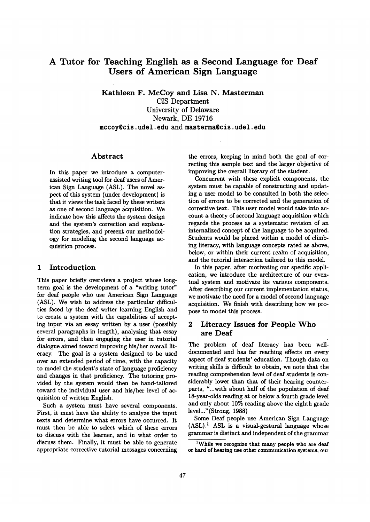# **A Tutor for Teaching English as a Second Language for Deaf Users of American Sign Language**

Kathleen F. McCoy and Lisa N. Masterman CIS Department University of Delaware Newark, DE 19716 mccoy%cis, udel. edu and masterma@cis, udel. edu

#### Abstract

In this paper we introduce a computerassisted writing tool for deaf users of American Sign Language (ASL). The novel aspect of this system (under development) is that it views the task faced by these writers as one of second language acquisition. We indicate how this affects the system design and the system's correction and explanation strategies, and present our methodology for modeling the second language acquisition process.

## 1 Introduction

This paper briefly overviews a project whose longterm goal is the development of a "writing tutor" for deaf people who use American Sign Language (ASL). We wish to address the particular difficulties faced by the deaf writer learning English and to create a system with the capabilities of accepting input via an essay written by a user (possibly several paragraphs in length), analyzing that essay for errors, and then engaging the user in tutorial dialogue aimed toward improving his/her overall literacy. The goal is a system designed to be used over an extended period of time, with the capacity to model the student's state of language proficiency and changes in that proficiency. The tutoring provided by the system would then be hand-tailored toward the individual user and his/her level of acquisition of written English.

Such a system must have several components. First, it must have the ability to analyze the input texts and determine what errors have occurred. It must then be able to select which of these errors to discuss with the learner, and in what order to discuss them. Finally, it must be able to generate appropriate corrective tutorial messages concerning the errors, keeping in mind both the goal of correcting this sample text and the larger objective of improving the overall literary of the student.

Concurrent with these explicit components, the system must be capable of constructing and updating a user model to be consulted in both the selection of errors to be corrected and the generation of corrective text. This user model would take into account a theory of second language acquisition which regards the process as a systematic revision of an internalized concept of the language to be acquired. Students would be placed within a model of climbing literacy, with language concepts rated as above, below, or within their current realm of acquisition, and the tutorial interaction tailored to this model.

In this paper, after motivating our specific application, we introduce the architecture of our eventual system and motivate its various components. After describing our current implementation status, we motivate the need for a model of second language acquisition. We finish with describing how we propose to model this process.

# 2 Literacy Issues for People Who are Deaf

The problem of deaf literacy has been welldocumented and has far reaching effects on every aspect of deaf students' education. Though data on writing skills is difficult to obtain, we note that the reading comprehension level of deaf students is considerably lower than that of their hearing counterparts, "...with about half of the population of deaf 18-year-olds reading at or below a fourth grade level and only about 10% reading above the eighth grade level..." (Strong, 1988)

Some Deaf people use American Sign Language  $(ASL)^1$  ASL is a visual-gestural language whose grammar is distinct and independent of the grammar

<sup>&</sup>lt;sup>1</sup>While we recognize that many people who are deaf or hard of hearing use other communication systems, our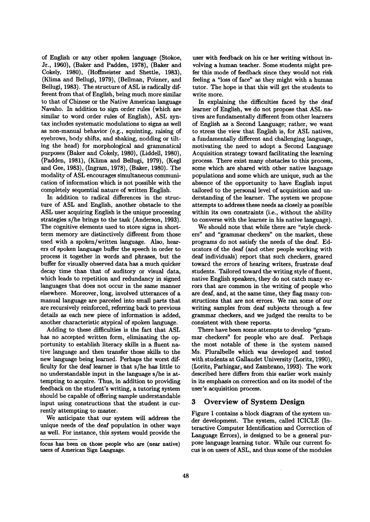of English or any other spoken language (Stokoe, Jr., 1960), (Baker and Padden, 1978), (Baker and Cokely, 1980), (Hoffmeister and Shettle, 1983), (Klima and Bellugi, 1979), (Bellman, Poizner, and Bellugi, 1983). The structure of ASL is radically different from that of English, being much more similar to that of Chinese or the Native American language Navaho. In addition to sign order rules (which are similar to word order rules of English), ASL syntax includes systematic modulations to signs as well as non-manual behavior (e.g., squinting, raising of eyebrows, body shifts, and shaking, nodding or tilting the head) for morphological and grammatical purposes (Baker and Cokely, 1980), (Liddell, 1980), (Padden, 1981), (Klima and Bellugi, 1979), (Kegl and Gee, 1983), (Ingram, 1978), (Baker, 1980). The modality of ASL encourages simultaneous communication of information which is not possible with the completely sequential nature of written English.

In addition to radical differences in the structure of ASL and English, another obstacle to the ASL user acquiring English is the unique processing strategies s/he brings to the task (Anderson, 1993). The cognitive elements used to store signs in shortterm memory are distinctively different from those used with a spoken/written language. Also, hearers of spoken language buffer the speech in order to process it together in words and phrases, but the buffer for visually observed data has a much quicker decay time than that of auditory or visual data, which leads to repetition and redundancy in signed languages that does not occur in the same manner elsewhere. Moreover, long, involved utterances of a manual language are parceled into small parts that are recursively reinforced, referring back to previous details as each new piece of information is added, another characteristic atypical of spoken language.

Adding to these difficulties is the fact that ASL has no accepted written form, eliminating the opportunity to establish literacy skills in a fluent native language and then transfer those skills to the new language being learned. Perhaps the worst difficulty for the deaf learner is that s/he has little to no understandable input in the language s/he is attempting to acquire. Thus, in addition to providing feedback on the student's writing, a tutoring system should be capable of offering sample understandable input using constructions that the student is currently attempting to master.

We anticipate that our system will address the unique needs of the deaf population in other ways as well. For instance, this system would provide the user with feedback on his or her writing without involving a human teacher. Some students might prefer this mode of feedback since they would not risk feeling a "loss of face" as they might with a human tutor. The hope is that this will get the students to write more.

In explaining the difficulties faced by the deaf learner of English, we do not propose that ASL natives are fundamentally different from other learners of English as a Second Language; rather, we want to stress the view that English is, for ASL natives, a fundamentally different and challenging language, motivating the need to adopt a Second Language Acquisition strategy toward facilitating the learning process. There exist many obstacles to this process, some which are shared with other native language populations and some which are unique, such as the absence of the opportunity to have English input tailored to the personal level of acquisition and understanding of the learner. The system we propose attempts to address these needs as closely as possible within its own constraints (i.e., without the ability to converse with the learner in his native language).

We should note that while there are "style checkers" and "grammar checkers" on the market, these programs do not satisfy the needs of the deaf. Educators of the deaf (and other people working with deaf individuals) report that such checkers, geared toward the errors of hearing writers, frustrate deaf students. Tailored toward the writing style of fluent, native English speakers, they do not catch many errors that are common in the writing of people who are deaf, and, at the same time, they flag many constructions that are not errors. We ran some of our writing samples from deaf subjects through a few grammar checkers, and we judged the results to be consistent with these reports.

There have been some attempts to develop "grammar checkers" for people who are deaf. Perhaps the most notable of these is the system named Ms. Pluralbelle which was developed and tested with students at Gallaudet University (Loritz, 1990), (Loritz, Parhizgar, and Zambrano, 1993). The work described here differs from this earlier work mainly in its emphasis on correction and on its model of the user's acquisition process.

# **3 Overview of System Design**

Figure 1 contains a block diagram of the system under development. The system, called ICICLE (Interactive Computer Identification and Correction of Language Errors), is designed to be a general purpose language learning tutor. While our current focus is on users of ASL, and thus some of the modules

focus has been on those people who are (near native) users of American Sign Language.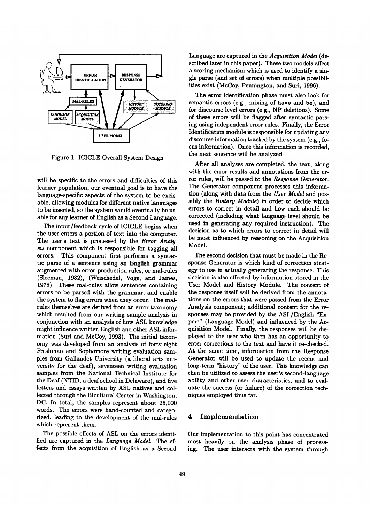

Figure 1: ICICLE Overall System Design

will be specific to the errors and difficulties of this learner population, our eventual goal is to have the language-specific aspects of the system to be excisable, allowing modules for different native languages to be inserted, so the system would eventually be usable for any learner of English as a Second Language.

The input/feedback cycle of ICICLE begins when the user enters a portion of text into the computer. The user's text is processed by the *Error Analysis* component which is responsible for tagging all errors. This component first performs a syntactic parse of a sentence using an English grammar augmented with error-production rules, or mal-rules (Sleeman, 1982), (Weischedel, Voge, and James, 1978). These mal-rules allow sentences containing errors to be parsed with the grammar, and enable the system to flag errors when they occur. The malrules themselves are derived from an error taxonomy which resulted from our writing sample analysis in conjunction with an analysis of how ASL knowledge might influence written English and other ASL information (Suri and McCoy, 1993). The initial taxonomy was developed from an analysis of forty-eight Freshman and Sophomore writing evaluation samples from Gallaudet University (a liberal arts university for the deaf), seventeen writing evaluation samples from the National Technical Institute for the Deaf (NTID, a deaf school in Delaware), and five letters and essays written by ASL natives and collected through the Biculturai Center in Washington, DC. In total, the samples represent about 25,000 words. The errors were hand-counted and categorized, leading to the development of the mal-rules which represent them.

The possible effects of ASL on the errors identified are captured in the *Language Model.* The effects from the acquisition of English as a Second Language are captured in the *Acquisition Model* (described later in this paper). These two models affect a scoring mechanism which is used to identify a single parse (and set of errors) when multiple possibilities exist (McCoy, Pennington, and Suri, 1996).

The error identification phase must also look for semantic errors (e.g., mixing of have and be), and for discourse level errors (e.g., NP deletions). Some of these errors will be flagged after syntactic parsing using independent error rules. Finally, the Error Identification module is responsible for updating any discourse information tracked by the system (e.g., focus information). Once this information is recorded, the next sentence will be analyzed.

After all analyses are completed, the text, along with the error results and annotations from the error rules, will be passed to the *Response Generator*. The Generator component processes this information (along with data from the *User Model* and possibly the *History Module)* in order to decide which errors to correct in detail and how each should be corrected (including what language level should be used in generating any required instruction). The decision as to which errors to correct in detail will be most influenced by reasoning on the Acquisition Model.

The second decision that must be made in the Response Generator is which kind of correction strategy to use in actually generating the response. This decision is also affected by information stored in the User Model and History Module. The content of the response itself will be derived from the annotations on the errors that were passed from the Error Analysis component; additional content for the responses may be provided by the ASL/English "Expert" (Language Model) and influenced by the Acquisition Model. Finally, the responses will be displayed to the user who then has an opportunity to enter corrections to the text and have it re-checked. At the same time, information from the Response Generator will be used to update the recent and long-term "history" of the user. This knowledge can then be utilized to assess the user's second-language ability and other user characteristics, and to evaluate the success (or failure) of the correction techniques employed thus far.

# 4 Implementation

Our implementation to this point has concentrated most heavily on the analysis phase of processing. The user interacts with the system through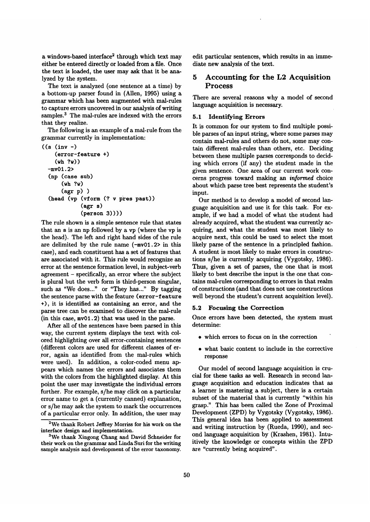a windows-based interface<sup>2</sup> through which text may either be entered directly or loaded from a file. Once the text is loaded, the user may ask that it be analyzed by the system.

The text is analyzed (one sentence at a time) by a bottom-up parser found in (Allen, 1995) using a grammar which has been augmented with mal-rules to capture errors uncovered in our analysis of writing samples.<sup>3</sup> The mal-rules are indexed with the errors that they realize.

The following is an example of a mal-rule from the grammar currently in implementation:

```
((s (inv -)(error-feature +) 
  (\text{wh } ?\text{w})-my01.2> 
(np (case sub) 
     (wh ?w) 
     (agr p) ) 
(head (vp (vform (? v pres past)) 
            (agr s) 
            (person 3)) ) )
```
The rule shown is a simple sentence rule that states that an s is an np followed by a vp (where the vp is the head). The left and right hand sides of the rule are delimited by the rule name (-my01.2> in this case), and each constituent has a set of features that are associated with it. This rule would recognize an error at the sentence formation level, in subject-verb agreement - specifically, an error where the subject is plural but the verb form is third-person singular, such as "We does..." or "They has..." By tagging the sentence parse with the feature (error-feature +), it is identified as containing an error, and the parse tree can be examined to discover the mal-rule (in this case, my01.2) that was used in the parse.

After all of the sentences have been parsed in this way, the current system displays the text with colored highlighting over all error-containing sentences (different colors are used for different classes of error, again as identified from the mal-rules which were used). In addition, a color-coded menu appears which names the errors and associates them with the colors from the highlighted display. At this point the user may investigate the individual errors further. For example, s/he may click on a particular error name to get a (currently canned) explanation, or s/he may ask the system to mark the occurrences of a particular error only. In addition, the user may edit particular sentences, which results in an immediate new analysis of the text.

# 5 Accounting for the L2 **Acquisition**  Process

There are several reasons why a model of second language acquisition is necessary.

#### 5.1 Identifying Errors

It is common for our system to find multiple possible parses of an input string, where some parses may contain mal-rules and others do not, some may contain different mal-rules than others, etc. Deciding between these multiple parses corresponds to deciding which errors (if any) the student made in the given sentence. One area of our current work concerns progress toward making an *informed* choice about which parse tree best represents the student's input.

Our method is to develop a model of second language acquisition and use it for this task. For example, if we had a model of what the student had already acquired, what the student was currently acquiring, and what the student was most likely to acquire next, this could be used to select the most likely parse of the sentence in a principled fashion. A student is most likely to make errors in constructions s/he is currently acquiring (Vygotsky, 1986). Thus, given a set of parses, the one that is most likely to best describe the input is the one that contains mal-rules corresponding to errors in that realm of constructions (and that does not use constructions well beyond the student's current acquisition level).

#### **5.2 Focusing the Correction**

Once errors have been detected, the system must determine:

- which errors to focus on in the correction
- what basic content to include in the corrective response

Our model of second language acquisition is crucial for these tasks as well. Research in second language acquisition and education indicates that as a learner is mastering a subject, there is a certain subset of the material that is currently "within his grasp." This has been called the Zone of Proximal Development (ZPD) by Vygotsky (Vygotsky, 1986). This general idea has been applied to assessment and writing instruction by (Rueda, 1990), and second language acquisition by (Krashen, 1981). Intuitively the knowledge or concepts within the ZPD are "currently being acquired".

<sup>2</sup>We thank Robert Jeffrey Morriss for his work on the interface design and implementation.

<sup>&</sup>lt;sup>3</sup>We thank Xingong Chang and David Schneider for their work on the grammar and Linda Suri for the writing sample analysis and development of the error taxonomy.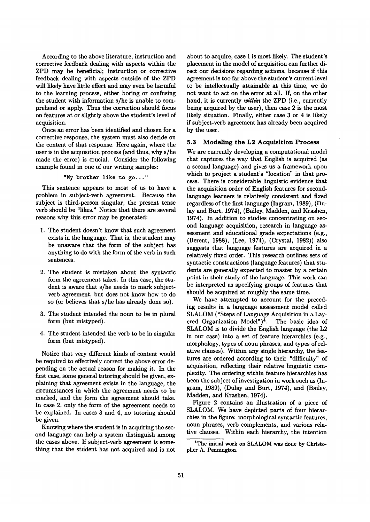According to the above literature, instruction and corrective feedback dealing with aspects within the ZPD may be beneficial; instruction or corrective feedback dealing with aspects outside of the ZPD will likely have little effect and may even be harmful to the learning process, either boring or confusing the student with information s/he is unable to comprehend or apply. Thus the correction should focus on features at or slightly above the student's level of acquisition.

Once an error has been identified and chosen for a corrective response, the system must also decide on the content of that response. Here again, where the user is in the acquisition process (and thus, why s/he made the error) is crucial. Consider the following example found in one of our writing samples:

"My brother like to go..."

This sentence appears to most of us to have a problem in subject-verb agreement. Because the subject is third-person singular, the present tense verb should be "likes." Notice that there are several reasons why this error may be generated:

- 1. The student doesn't know that such agreement exists in the language. That is, the student may be unaware that the form of the subject has anything to do with the form of the verb in such sentences.
- 2. The student is mistaken about the syntactic form the agreement takes. In this case, the student is aware that s/he needs to mark subjectverb agreement, but does not know how to do so (or believes that s/he has already done so).
- 3. The student intended the noun to be in plural form (but mistyped).
- 4. The student intended the verb to be in singular form (but mistyped).

Notice that very different kinds of content would be required to effectively correct the above error depending on the actual reason for making it. In the first case, some general tutoring should be given, explaining that agreement exists in the language, the circumstances in which the agreement needs to be marked, and the form the agreement should take. In case 2, only the form of the agreement needs to be explained. In cases 3 and 4, no tutoring should be given.

Knowing where the student is in acquiring the second language can help a system distinguish among the cases above. If subject-verb agreement is something that the student has not acquired and is not about to acquire, case 1 is most likely. The student's placement in the model of acquisition can further direct our decisions regarding actions, because if this agreement is too far above the student's current level to be intellectually attainable at this time, we do not want to act on the error at all. If, on the other hand, it is currently *within* the ZPD (i.e., currently being acquired by the user), then case 2 is the most likely situation. Finally, either case 3 or 4 is likely if subject-verb agreement has already been acquired by the user.

#### 5.3 Modeling the L2 Acquisition Process

We are currently developing a computational model that captures the way that English is acquired (as a second language) and gives us a framework upon which to project a student's "location" in that process. There is considerable linguistic evidence that the acquisition order of English features for secondlanguage learners is relatively consistent and fixed regardless of the first language (Ingram,  $1989$ ), (Dulay and Burt, 1974), (Bailey, Madden, and Krashen, 1974). In addition to studies concentrating on second language acquisition, research in language assessment and educational grade expectations (e.g., (Berent, 1988), (Lee, 1974), (Crystal, 1982)) also suggests that language features are acquired in a relatively fixed order. This research outlines sets of syntactic constructions (language features) that students are generally expected to master by a certain point in their study of the language. This work can be interpreted as specifying groups of features that should be acquired at roughly the same time.

We have attempted to account for the preceding results in a language assessment model called SLALOM ("Steps of Language Acquisition in a Layered Organization Model")<sup>4</sup>. The basic idea of SLALOM is to divide the English language (the L2 in our case) into a set of feature hierarchies (e.g., morphology, types of noun phrases, and types of relative clauses). Within any single hierarchy, the features are ordered according to their "difficulty" of acquisition, reflecting their relative linguistic complexity. The ordering within feature hierarchies has been the subject of investigation in work such as (Ingram, 1989), (Dulay and Burt, 1974), and (Bailey, Madden, and Krashen, 1974).

Figure 2 contains an illustration of a piece of SLALOM. We have depicted parts of four hierarchies in the figure: morphological syntactic features, noun phrases, verb complements, and various relative clauses. Within each hierarchy, the intention

**<sup>4</sup>The** initial work on SLALOM was done by Christopher A. Pennington.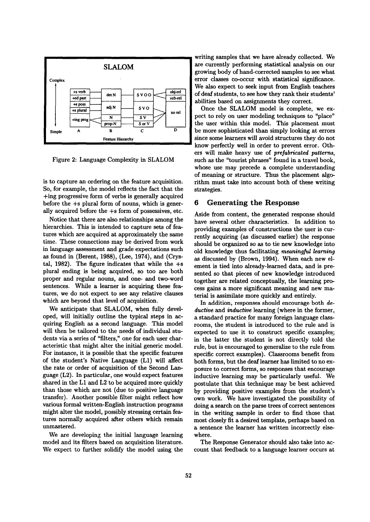

Figure 2: Language Complexity in SLALOM

is to capture an ordering on the feature acquisition. So, for example, the model reflects the fact that the +ing progressive form of verbs is generally acquired before the +s plural form of nouns, which is generally acquired before the +s form of possessives, etc.

Notice that there are also relationships among the hierarchies. This is intended to capture sets of features which are acquired at approximately the same time. These connections may be derived from work in language assessment and grade expectations such as found in (Berent, 1988), (Lee, 1974), and (Crystal, 1982). The figure indicates that while the  $+$ s plural ending is being acquired, so too are both proper and regular nouns, and one- and two-word sentences. While a learner is acquiring these features, we do not expect to see any relative clauses which are beyond that level of acquisition.

We anticipate that SLALOM, when fully developed, will initially outline the typical steps in acquiring English as a second language. This model will then be tailored to the needs of individual students via a series of "filters," one for each user characteristic that might alter the initial generic model. For instance, it is possible that the specific features of the student's Native Language (L1) will affect the rate or order of acquisition of the Second Language (L2). In particular, one would expect features shared in the L1 and L2 to be acquired more quickly than those which are not (due to positive language transfer). Another possible filter might reflect how various formal written-English instruction programs might alter the model, possibly stressing certain features normally acquired after others which remain unmastered.

We are developing the initial language learning model and its filters based on acquisition literature. We expect to further solidify the model using the

writing samples that we have already collected. We are currently performing statistical analysis on our growing body of hand-corrected samples to see what error classes co-occur with statistical significance. We also expect to seek input from English teachers of deaf students, to see how they rank their students' abilities based on assignments they correct.

Once the SLALOM model is complete, we expect to rely on user modeling techniques to "place" the user within this model. This placement must be more sophisticated than simply looking at errors since some learners will avoid structures they do not know perfectly well in order to prevent error. Others will make heavy use of *prefabricated patterns,*  such as the "tourist phrases" found in a travel book, whose use may precede a complete understanding of meaning or structure. Thus the placement algorithm must take into account both of these writing strategies.

### **6 Generating the Response**

Aside from content, the generated response should have several other characteristics. In addition to providing examples of constructions the user is currently acquiring (as discussed earlier) the response should be organized so as to tie new knowledge into old knowledge thus facilitating *meaningful learning*  as discussed by (Brown, 1994). When each new element is tied into already-learned data, and is presented so that pieces of new knowledge introduced together are related conceptually, the learning process gains a more significant meaning and new material is assimilate more quickly and entirely.

In addition, responses should encourage both *deductive and inductive* learning (where in the former, a standard practice for many foreign language classrooms, the student is introduced to the rule and is expected to use it to construct specific examples; in the latter the student is not directly told the rule, but is encouraged to generalize to the rule from specific correct examples). Classrooms benefit from both forms, but the deaf learner has limited to no exposure to correct forms, so responses that encourage inductive learning may be particularly useful. We postulate that this technique may be best achieved by providing positive examples from the student's own work. We have investigated the possibility of doing a search on the parse trees of correct sentences in the writing sample in order to find those that most closely fit a desired template, perhaps based on a sentence the learner has written incorrectly elsewhere.

The Response Generator should also take into account that feedback to a language learner occurs at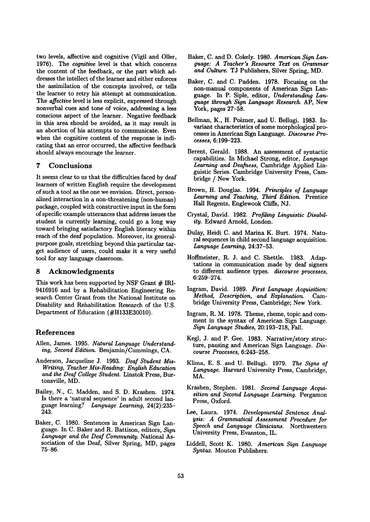two levels, affective and cognitive (Vigil and Oiler, 1976). The *cognitive* level is that which concerns the content of the feedback, or the part which addresses the intellect of the learner and either enforces the assimilation of the concepts involved, or tells the learner to retry his attempt at communication. The *affective* level is less explicit, expressed through nonverbal cues and tone of voice, addressing a less conscious aspect of the learner. Negative feedback in this area should be avoided, as it may result in an abortion of his attempts to communicate. Even when the cognitive content of the response is indicating that an error occurred, the affective feedback should always encourage the learner.

## **7** Conclusions

It seems clear to us that the difficulties faced by deaf learners of written English require the development of such a tool as the one we envision. Direct, personalized interaction in a non-threatening (non-human) package, coupled with constructive input in the form of specific example utterances that address issues the student is currently learning, could go a long way toward bringing satisfactory English literacy within reach of the deaf population. Moreover, its generalpurpose goals, stretching beyond this particular target audience of users, could make it a very useful tool for any language classroom.

### **8** Acknowledgments

This work has been supported by NSF Grant  $#$  IRI-9416916 and by a Rehabilitation Engineering Research Center Grant from the National Institute on Disability and Rehabilitation Research of the U.S. Department of Education (#H133E30010).

### References

- Allen, James. 1995. *Natural Language Understanding, Second Edition.* Benjamin/Cummings, CA.
- Anderson, Jacqueline J. 1993. *Deaf Student Mis-Writing, Teacher Mis-Reading: English Education and the Deaf College Student.* Linstok Press, Burtonsville, MD.
- Bailey, N., C. Madden, and S. D. Krashen. 1974. Is there a 'natural sequence' in adult second language learning? ~ *Language Learning,* 24(2):235- 243.
- Baker, C. 1980. Sentences in American Sign Language. In C. Baker and R. Battison, editors, *Sign Language and the Deaf Community.* National Association of the Deaf, Silver Spring, MD, pages 75-86.
- Baker, C. and D. Cokely. 1980. *American Sign Language: A Teacher's Resource Text on Grammar and Culture.* TJ Publishers, Silver Spring, MD.
- Baker, C. and C. Padden. 1978. Focusing on the non-manual components of American Sign Langnage. In P. Siple, editor, *Understanding Language through Sign Language Research.* AP, New York, pages 27-58.
- Bellman, K., H. Poizner, and U. Bellugi. 1983. Invariant characteristics of some morphological processes in American Sign Language. *Discourse Processes,* 6:199-223.
- Berent, Gerald. 1988. An assessment of syntactic capabilities. In Michael Strong, editor, *Language Learning and Deafness,* Cambridge Applied Linguistic Series. Cambridge University Press, Cambridge / New York.
- Brown, H. Douglas. 1994. *Principles of Language Learning and Teaching, Third Edition.* Prentice Hall Regents, Englewook Cliffs, NJ.
- Crystal, David. 1982. *Profiling Linguistic Disability.* Edward Arnold, London.
- Dulay, Heidi C. and Marina K. Burt. 1974. Natural sequences in child second language acquisition. *Language Learning,* 24:37-53.
- Hoffmeister, R. J. and C. Shettle. 1983. Adaptations in communication made by deaf signers to different audience types, *discourse processes,*  6:259-274.
- Ingram, David. 1989. *First Language Acquisition: Method, Description, and Explanation. Cam*bridge University Press, Cambridge; New York.
- Ingram, R. M. 1978. Theme, rheme, topic and comment in the syntax of American Sign Language. *Sign Language Studies,* 20:193-218, Fall.
- Kegl, J. and P. Gee. 1983. Narrative/story structure, pausing and American Sign Language. *Discourse Processes,* 6:243-258.
- Klima, E. S. and U. Bellugi. 1979. *The Signs of Language.* Harvard University Press, Cambridge, MA.
- Krashen, Stephen. 1981. *Second Language Acquisition and Second Language Learning.* Pergamon Press, Oxford.
- Lee, Laura. 1974. *Developmental Sentence Analysis: A Grammatical Assessment Procedure for Speech and Language Clinicians.* Northwestern University Press, Evanston, IL.
- Liddell, Scott K. 1980. *American Sign Language Syntax.* Mouton Publishers.